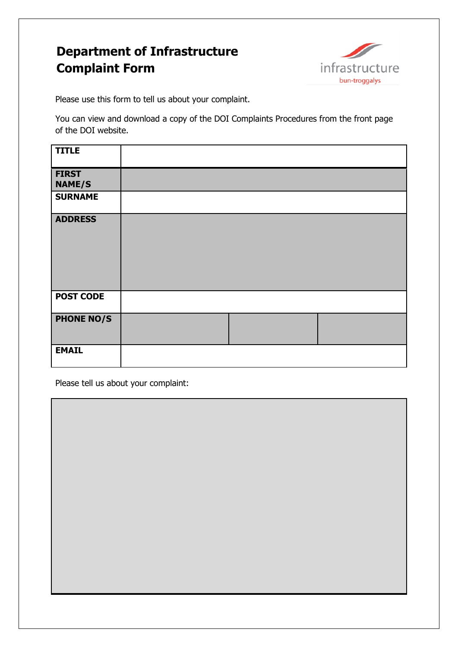## **Department of Infrastructure Complaint Form**



Please use this form to tell us about your complaint.

You can view and download a copy of the DOI Complaints Procedures from the front page of the DOI website.

| <b>TITLE</b>                  |  |  |
|-------------------------------|--|--|
| <b>FIRST</b><br><b>NAME/S</b> |  |  |
| <b>SURNAME</b>                |  |  |
| <b>ADDRESS</b>                |  |  |
| <b>POST CODE</b>              |  |  |
| <b>PHONE NO/S</b>             |  |  |
| <b>EMAIL</b>                  |  |  |

Please tell us about your complaint: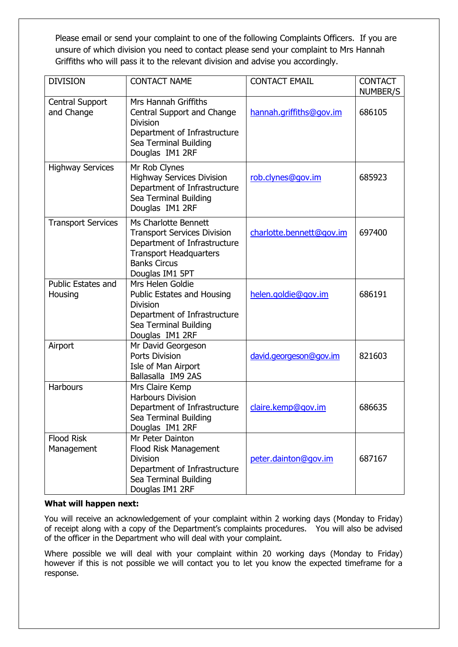Please email or send your complaint to one of the following Complaints Officers. If you are unsure of which division you need to contact please send your complaint to Mrs Hannah Griffiths who will pass it to the relevant division and advise you accordingly.

| <b>DIVISION</b>                      | <b>CONTACT NAME</b>                                                                                                                                                   | <b>CONTACT EMAIL</b>     | <b>CONTACT</b><br>NUMBER/S |
|--------------------------------------|-----------------------------------------------------------------------------------------------------------------------------------------------------------------------|--------------------------|----------------------------|
| Central Support<br>and Change        | Mrs Hannah Griffiths<br>Central Support and Change<br><b>Division</b><br>Department of Infrastructure<br>Sea Terminal Building<br>Douglas IM1 2RF                     | hannah.griffiths@gov.im  | 686105                     |
| <b>Highway Services</b>              | Mr Rob Clynes<br><b>Highway Services Division</b><br>Department of Infrastructure<br>Sea Terminal Building<br>Douglas IM1 2RF                                         | rob.clynes@gov.im        | 685923                     |
| <b>Transport Services</b>            | Ms Charlotte Bennett<br><b>Transport Services Division</b><br>Department of Infrastructure<br><b>Transport Headquarters</b><br><b>Banks Circus</b><br>Douglas IM1 5PT | charlotte.bennett@gov.im | 697400                     |
| <b>Public Estates and</b><br>Housing | Mrs Helen Goldie<br><b>Public Estates and Housing</b><br><b>Division</b><br>Department of Infrastructure<br>Sea Terminal Building<br>Douglas IM1 2RF                  | helen.goldie@gov.im      | 686191                     |
| Airport                              | Mr David Georgeson<br><b>Ports Division</b><br>Isle of Man Airport<br>Ballasalla IM9 2AS                                                                              | david.georgeson@gov.im   | 821603                     |
| <b>Harbours</b>                      | Mrs Claire Kemp<br><b>Harbours Division</b><br>Department of Infrastructure<br>Sea Terminal Building<br>Douglas IM1 2RF                                               | claire.kemp@gov.im       | 686635                     |
| <b>Flood Risk</b><br>Management      | Mr Peter Dainton<br>Flood Risk Management<br><b>Division</b><br>Department of Infrastructure<br>Sea Terminal Building<br>Douglas IM1 2RF                              | peter.dainton@gov.im     | 687167                     |

## **What will happen next:**

You will receive an acknowledgement of your complaint within 2 working days (Monday to Friday) of receipt along with a copy of the Department's complaints procedures. You will also be advised of the officer in the Department who will deal with your complaint.

Where possible we will deal with your complaint within 20 working days (Monday to Friday) however if this is not possible we will contact you to let you know the expected timeframe for a response.